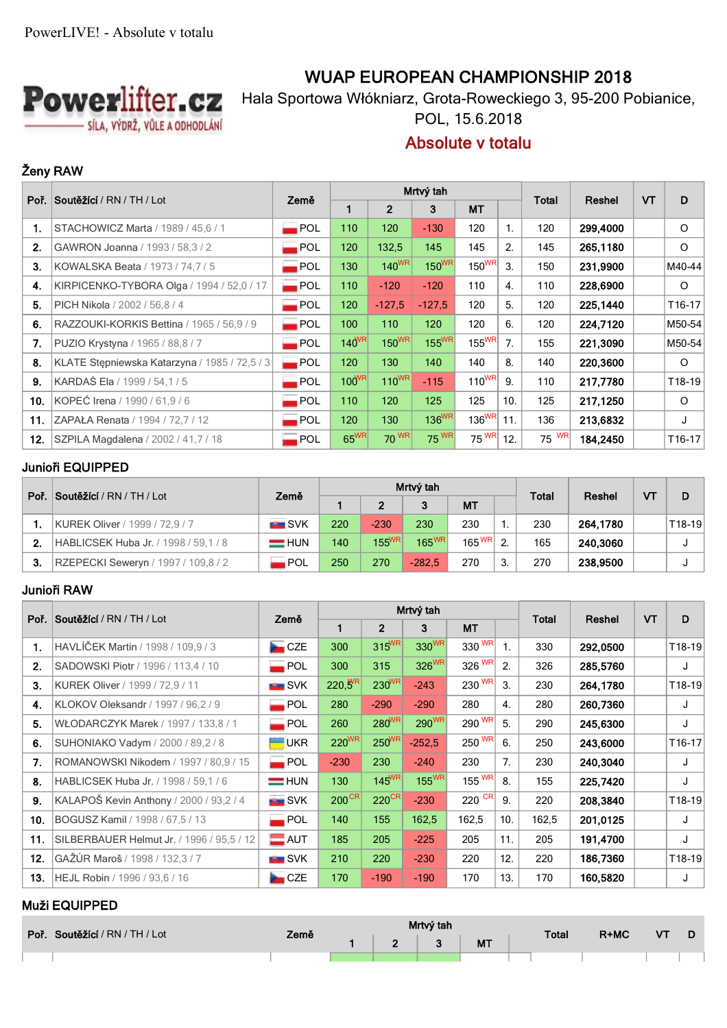

# **WUAP EUROPEAN CHAMPIONSHIP 2018**

Hala Sportowa Włókniarz, Grota-Roweckiego 3, 95-200 Pobianice,

POL, 15.6.2018

# **Absolute v totalu**

## **Ženy RAW**

|     | Poř. Soutěžící / RN / TH / Lot                | Země               |            |            | Mrtvý tah         |                   |                  | Total | Reshel   | VT | D                  |
|-----|-----------------------------------------------|--------------------|------------|------------|-------------------|-------------------|------------------|-------|----------|----|--------------------|
|     |                                               |                    |            |            | 3                 | <b>MT</b>         |                  |       |          |    |                    |
| 1.  | STACHOWICZ Marta / 1989 / 45.6 / 1            | $\blacksquare$ POL | 110        | 120        | $-130$            | 120               | 1.               | 120   | 299,4000 |    | $\circ$            |
| 2.  | GAWRON Joanna / 1993 / 58,3 / 2               | $\blacksquare$ POL | 120        | 132,5      | 145               | 145               | 2.               | 145   | 265,1180 |    | $\circ$            |
| 3.  | KOWALSKA Beata / 1973 / 74,7 / 5              | $\blacksquare$ POL | 130        | $140^{WR}$ | $150^{WR}$        | 150 <sup>WR</sup> | 3.               | 150   | 231,9900 |    | M40-44             |
| 4.  | KIRPICENKO-TYBORA Olga / 1994 / 52,0 / 17     | $\blacksquare$ POL | 110        | $-120$     | $-120$            | 110               | $\overline{4}$ . | 110   | 228,6900 |    | $\circ$            |
| 5.  | PICH Nikola / 2002 / 56,8 / 4                 | $\blacksquare$ POL | 120        | $-127.5$   | $-127.5$          | 120               | 5.               | 120   | 225,1440 |    | T16-17             |
| 6.  | RAZZOUKI-KORKIS Bettina / 1965 / 56,9 / 9     | $\blacksquare$ POL | 100        | 110        | 120               | 120               | 6.               | 120   | 224,7120 |    | M50-54             |
| 7.  | PUZIO Krystyna / 1965 / 88,8 / 7              | $\blacksquare$ POL | $140^{WR}$ | $150^{WR}$ | $155^{WR}$        | $155^{WR}$        | 7.               | 155   | 221,3090 |    | M50-54             |
| 8.  | KLATE Stepniewska Katarzyna / 1985 / 72,5 / 3 | <b>POL</b>         | 120        | 130        | 140               | 140               | 8.               | 140   | 220,3600 |    | $\circ$            |
| 9.  | KARDAŚ Ela / 1999 / 54.1 / 5                  | POL.               | $100^{WR}$ | $110^{WR}$ | $-115$            | $110^{WR}$        | 9.               | 110   | 217,7780 |    | T18-19             |
| 10. | KOPEĆ Irena / 1990 / 61,9 / 6                 | $\blacksquare$ POL | 110        | 120        | 125               | 125               | 10.              | 125   | 217,1250 |    | $\circ$            |
| 11. | ZAPAŁA Renata / 1994 / 72,7 / 12              | $\blacksquare$ POL | 120        | 130        | 136 <sup>WR</sup> | 136 <sup>WR</sup> | 11.              | 136   | 213,6832 |    | J                  |
| 12. | SZPILA Magdalena / 2002 / 41,7 / 18           | $\blacksquare$ POL | $65^{WR}$  | 70 WR      | 75 WR             | 75 WR             | 12.              | 75 WR | 184,2450 |    | T <sub>16-17</sub> |

### **Junioři EQUIPPED**

| Poř. | $\sqrt{\text{Sout\'ežici}/\text{RN}/\text{TH}/\text{Lot}}$ | Země          |     |                | Mrtvý tah         |                    | <b>Total</b> | Reshel | <b>VT</b> | D |        |
|------|------------------------------------------------------------|---------------|-----|----------------|-------------------|--------------------|--------------|--------|-----------|---|--------|
|      |                                                            |               |     | $\overline{2}$ | 3                 | <b>MT</b>          |              |        |           |   |        |
|      | KUREK Oliver / 1999 / 72,9 / 7                             | <b>EL</b> SVK | 220 | $-230$         | 230               | 230                |              | 230    | 264.1780  |   | T18-19 |
| 2.   | HABLICSEK Huba Jr. / 1998 / 59.1 / 8                       | $=$ HUN       | 140 | $155^{WR}$     | $165^{\text{WR}}$ | 165 $^{\sf WR}$ 2. |              | 165    | 240,3060  |   |        |
|      | RZEPECKI Seweryn / 1997 / 109,8 / 2                        | POL           | 250 | 270            | $-282.5$          | 270                |              | 270    | 238,9500  |   |        |

### **Junioři RAW**

| Poř. | <b>Soutěžící</b> / RN / TH / Lot          | Země                   |                     |                     | Mrtvý tah         |                     | Total          |       | <b>VT</b> | D |        |
|------|-------------------------------------------|------------------------|---------------------|---------------------|-------------------|---------------------|----------------|-------|-----------|---|--------|
|      |                                           |                        |                     | $\overline{2}$      | 3                 | <b>MT</b>           |                |       | Reshel    |   |        |
| 1.   | HAVLÍČEK Martin / 1998 / 109,9 / 3        | CCE<br>a.              | 300                 | $315^{WR}$          | 330 <sup>WR</sup> | 330 WR              | $\mathbf{1}$ . | 330   | 292,0500  |   | T18-19 |
| 2.   | SADOWSKI Piotr / 1996 / 113,4 / 10        | $\blacksquare$ POL     | 300                 | 315                 | 326 <sup>WR</sup> | 326 WR              | 2.             | 326   | 285,5760  |   | J      |
| 3.   | KUREK Oliver / 1999 / 72,9 / 11           | <b>EL</b> SVK          | $220,5^{\text{WR}}$ | $230^{WR}$          | $-243$            | 230 WR              | 3.             | 230   | 264,1780  |   | T18-19 |
| 4.   | KLOKOV Oleksandr / 1997 / 96,2 / 9        | <b>POL</b>             | 280                 | $-290$              | $-290$            | 280                 | $\mathbf{4}$ . | 280   | 260,7360  |   | J      |
| 5.   | WŁODARCZYK Marek / 1997 / 133,8 / 1       | <b>POL</b>             | 260                 | $280^{WR}$          | 290 <sup>WR</sup> | $290^{WR}$          | 5.             | 290   | 245,6300  |   | J      |
| 6.   | SUHONIAKO Vadym / 2000 / 89,2 / 8         | <b>UKR</b>             | $220^{WR}$          | $250^{WR}$          | $-252,5$          | 250 WR              | 6.             | 250   | 243,6000  |   | T16-17 |
| 7.   | ROMANOWSKI Nikodem / 1997 / 80,9 / 15     | $\blacksquare$ POL     | $-230$              | 230                 | $-240$            | 230                 | 7.             | 230   | 240,3040  |   | J      |
| 8.   | HABLICSEK Huba Jr. / 1998 / 59,1 / 6      | <b>HUN</b>             | 130                 | $145^{WR}$          | $155^{WR}$        | $155$ <sup>WR</sup> | 8.             | 155   | 225,7420  |   | J      |
| 9.   | KALAPOŠ Kevin Anthony / 2000 / 93.2 / 4   | $\blacksquare$ SVK     | $200^{\text{CR}}$   | $220$ <sup>CR</sup> | $-230$            | 220 $\overline{CR}$ | 9.             | 220   | 208,3840  |   | T18-19 |
| 10.  | BOGUSZ Kamil / 1998 / 67,5 / 13           | $\blacksquare$ POL     | 140                 | 155                 | 162,5             | 162,5               | 10.            | 162,5 | 201,0125  |   | J      |
| 11.  | SILBERBAUER Helmut Jr. / 1996 / 95,5 / 12 | $\blacksquare$ AUT     | 185                 | 205                 | $-225$            | 205                 | 11.            | 205   | 191,4700  |   | J      |
| 12.  | GAŽÚR Maroš / 1998 / 132,3 / 7            | <b>EL SVK</b>          | 210                 | 220                 | $-230$            | 220                 | 12.            | 220   | 186,7360  |   | T18-19 |
| 13.  | HEJL Robin / 1996 / 93.6 / 16             | $\mathsf{CZE}$<br>هي ا | 170                 | $-190$              | $-190$            | 170                 | 13.            | 170   | 160,5820  |   | J      |

### **Muži EQUIPPED**

| Poř. | Soutěžící / RN / TH / Lot | Země |            | Mrtvý tah |           | Total | $R+MC$ | VT |  |
|------|---------------------------|------|------------|-----------|-----------|-------|--------|----|--|
|      |                           |      | $\sqrt{2}$ |           | <b>MT</b> |       |        |    |  |
|      |                           |      |            |           |           |       |        |    |  |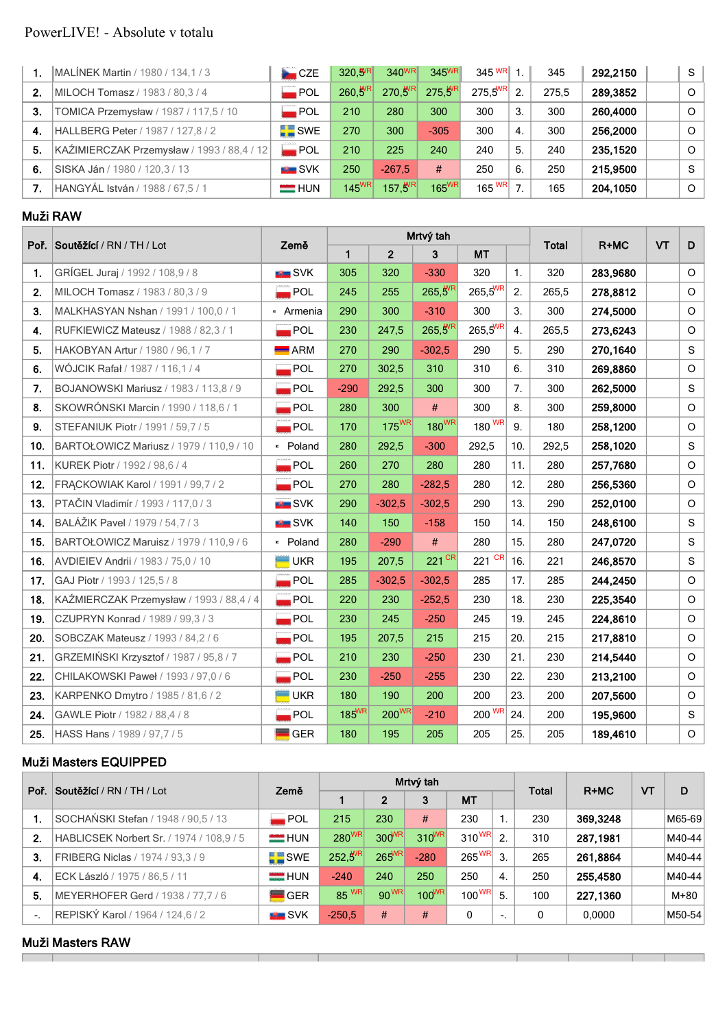# PowerLIVE! - Absolute v totalu

|    | MALINEK Martin / 1980 / 134, 1 / 3         | CZE                | 320.WR       | 340 <sup>WR</sup>   | 345 <sup>WR</sup>   | $345$ WR $1.$          |                | 345   | 292.2150 | -S       |
|----|--------------------------------------------|--------------------|--------------|---------------------|---------------------|------------------------|----------------|-------|----------|----------|
| 2. | MILOCH Tomasz / 1983 / 80,3 / 4            | $\blacksquare$ POL | $260,5^{WR}$ | $270,5^{WR}$        | $275,5^{\text{WR}}$ | $275.5^{\text{WR}}$ 2. |                | 275.5 | 289,3852 | $\Omega$ |
| 3. | TOMICA Przemysław / 1987 / 117,5 / 10      | $\blacksquare$ POL | 210          | 280                 | 300                 | 300                    | 3.             | 300   | 260,4000 | $\Omega$ |
| 4. | HALLBERG Peter / 1987 / 127.8 / 2          | <b>SWE</b>         | 270          | 300                 | $-305$              | 300                    | 4.             | 300   | 256,2000 | $\Omega$ |
| 5. | KAŹIMIERCZAK Przemysław / 1993 / 88,4 / 12 | $\blacksquare$ POL | 210          | 225                 | 240                 | 240                    | 5.             | 240   | 235.1520 | $\Omega$ |
| 6. | SISKA Ján / 1980 / 120,3 / 13              | <b>ELL</b> SVK     | 250          | $-267.5$            | #                   | 250                    | 6.             | 250   | 215,9500 | -S       |
|    | HANGYÁL István / 1988 / 67,5 / 1           | $=$ HUN            | $145^{WR}$   | $157.5^{\text{WR}}$ | $165^{WR}$          | 165 $W$ R              | $\overline{ }$ | 165   | 204.1050 | $\Omega$ |

#### **Muži RAW**

|     |                                          | Země                         | Mrtvý tah    |                   |              |                    |                |              | $R+MC$   | VT |              |
|-----|------------------------------------------|------------------------------|--------------|-------------------|--------------|--------------------|----------------|--------------|----------|----|--------------|
|     | Poř. Soutěžící / RN / TH / Lot           |                              | $\mathbf{1}$ | $\overline{2}$    | 3            | <b>MT</b>          |                | <b>Total</b> |          |    | D            |
| 1.  | GRÍGEL Juraj / 1992 / 108,9 / 8          | SVK                          | 305          | 320               | $-330$       | 320                | $\mathbf{1}$ . | 320          | 283,9680 |    | $\circ$      |
| 2.  | MILOCH Tomasz / 1983 / 80,3 / 9          | $\overline{\phantom{a}}$ POL | 245          | 255               | $265,5^{WR}$ | $265,5^{WR}$       | 2.             | 265,5        | 278,8812 |    | $\circ$      |
| 3.  | MALKHASYAN Nshan / 1991 / 100,0 / 1      | • Armenia                    | 290          | 300               | $-310$       | 300                | 3.             | 300          | 274,5000 |    | $\circ$      |
| 4.  | RUFKIEWICZ Mateusz / 1988 / 82,3 / 1     | $\blacksquare$ POL           | 230          | 247,5             | $265,5^{WR}$ | $265,5^{WR}$       | 4.             | 265,5        | 273,6243 |    | $\circ$      |
| 5.  | HAKOBYAN Artur / 1980 / 96,1 / 7         | $\blacksquare$ ARM           | 270          | 290               | $-302,5$     | 290                | 5.             | 290          | 270,1640 |    | S            |
| 6.  | WÓJCIK Rafał / 1987 / 116,1 / 4          | POL                          | 270          | 302,5             | 310          | 310                | 6.             | 310          | 269,8860 |    | $\circ$      |
| 7.  | BOJANOWSKI Mariusz / 1983 / 113,8 / 9    | $\blacksquare$ POL           | $-290$       | 292,5             | 300          | 300                | 7.             | 300          | 262,5000 |    | S            |
| 8.  | SKOWRÓNSKI Marcin / 1990 / 118,6 / 1     | $\overline{\phantom{a}}$ POL | 280          | 300               | #            | 300                | 8.             | 300          | 259,8000 |    | $\circ$      |
| 9.  | STEFANIUK Piotr / 1991 / 59,7 / 5        | $\blacksquare$ POL           | 170          | 175 <sup>WR</sup> | $180^{WR}$   | $180 \frac{WR}{ }$ | 9.             | 180          | 258,1200 |    | $\circ$      |
| 10. | BARTOŁOWICZ Mariusz / 1979 / 110,9 / 10  | · Poland                     | 280          | 292,5             | $-300$       | 292,5              | 10.            | 292,5        | 258,1020 |    | S            |
| 11. | KUREK Piotr / 1992 / 98.6 / 4            | $\blacksquare$ POL           | 260          | 270               | 280          | 280                | 11.            | 280          | 257,7680 |    | $\circ$      |
| 12. | FRACKOWIAK Karol / 1991 / 99,7 / 2       | $\blacksquare$ POL           | 270          | 280               | $-282,5$     | 280                | 12.            | 280          | 256,5360 |    | $\circ$      |
| 13. | PTAČIN Vladimír / 1993 / 117,0 / 3       | SVK                          | 290          | $-302,5$          | $-302,5$     | 290                | 13.            | 290          | 252,0100 |    | $\circ$      |
| 14. | BALÁŽIK Pavel / 1979 / 54,7 / 3          | <b>EXAMPLE</b> SVK           | 140          | 150               | $-158$       | 150                | 14.            | 150          | 248,6100 |    | $\mathsf S$  |
| 15. | BARTOŁOWICZ Maruisz / 1979 / 110,9 / 6   | · Poland                     | 280          | $-290$            | #            | 280                | 15.            | 280          | 247,0720 |    | <sub>S</sub> |
| 16. | AVDIEIEV Andrii / 1983 / 75,0 / 10       | $\blacksquare$ UKR           | 195          | 207,5             | 221 CR       | 221 CR             | 16.            | 221          | 246,8570 |    | S            |
| 17. | GAJ Piotr / 1993 / 125,5 / 8             | $\overline{\phantom{a}}$ POL | 285          | $-302,5$          | $-302,5$     | 285                | 17.            | 285          | 244,2450 |    | $\circ$      |
| 18. | KAŻMIERCZAK Przemysław / 1993 / 88,4 / 4 | $\blacksquare$ POL           | 220          | 230               | $-252,5$     | 230                | 18.            | 230          | 225,3540 |    | $\circ$      |
| 19. | CZUPRYN Konrad / 1989 / 99,3 / 3         | POL                          | 230          | 245               | $-250$       | 245                | 19.            | 245          | 224,8610 |    | $\circ$      |
| 20. | SOBCZAK Mateusz / 1993 / 84,2 / 6        | $\blacksquare$ POL           | 195          | 207,5             | 215          | 215                | 20.            | 215          | 217,8810 |    | $\circ$      |
| 21. | GRZEMIŃSKI Krzysztof / 1987 / 95,8 / 7   | $\blacksquare$ POL           | 210          | 230               | $-250$       | 230                | 21.            | 230          | 214,5440 |    | $\circ$      |
| 22. | CHILAKOWSKI Paweł / 1993 / 97,0 / 6      | $\blacksquare$ POL           | 230          | $-250$            | $-255$       | 230                | 22.            | 230          | 213,2100 |    | $\circ$      |
| 23. | KARPENKO Dmytro / 1985 / 81,6 / 2        | UKR                          | 180          | 190               | 200          | 200                | 23.            | 200          | 207,5600 |    | $\circ$      |
| 24. | GAWLE Piotr / 1982 / 88,4 / 8            | <b>POL</b>                   | 185WR        | $200^{WR}$        | $-210$       | 200 WR             | 24.            | 200          | 195,9600 |    | $\mathbf S$  |
| 25. | HASS Hans / 1989 / 97,7 / 5              | <b>GER</b>                   | 180          | 195               | 205          | 205                | 25.            | 205          | 189,4610 |    | $\circ$      |

### **Muži Masters EQUIPPED**

| Poř.       | Soutěžící / RN / TH / Lot                | Země               |                   |              | Mrtvý tah  |               | <b>Total</b> | $R+MC$ | VT       | D |        |
|------------|------------------------------------------|--------------------|-------------------|--------------|------------|---------------|--------------|--------|----------|---|--------|
|            |                                          |                    |                   | $\mathbf{2}$ | 3          | <b>MT</b>     |              |        |          |   |        |
|            | SOCHAŃSKI Stefan / 1948 / 90,5 / 13      | $\blacksquare$ POL | 215               | 230          | #          | 230           |              | 230    | 369,3248 |   | M65-69 |
| 2.         | HABLICSEK Norbert Sr. / 1974 / 108,9 / 5 | HUN                | 280 <sup>WR</sup> | $300^{WR}$   | $310^{WR}$ | $310^{WR}$ 2. |              | 310    | 287.1981 |   | M40-44 |
| $\cdot$ 3. | FRIBERG Niclas / 1974 / 93.3 / 9         | <b>SWE</b>         | $252.5^{WR}$      | $265^{WR}$   | $-280$     | $265^{WR}$ 3. |              | 265    | 261,8864 |   | M40-44 |
| 4.         | ECK László / 1975 / 86.5 / 11            | $=$ HUN            | $-240$            | 240          | 250        | 250           | 4.           | 250    | 255.4580 |   | M40-44 |
| 5.         | MEYERHOFER Gerd / 1938 / 77,7 / 6        | <b>GER</b>         | 85 WR             | 90 WR        | $100^{WR}$ | $100^{WR}$    | 5.           | 100    | 227,1360 |   | $M+80$ |
| $\sim$     | REPISKÝ Karol / 1964 / 124,6 / 2         | <b>EL SVK</b>      | $-250.5$          | #            | #          | 0             | ۰            |        | 0.0000   |   | M50-54 |

т

т

#### **Muži Masters RAW**  $\overline{a}$